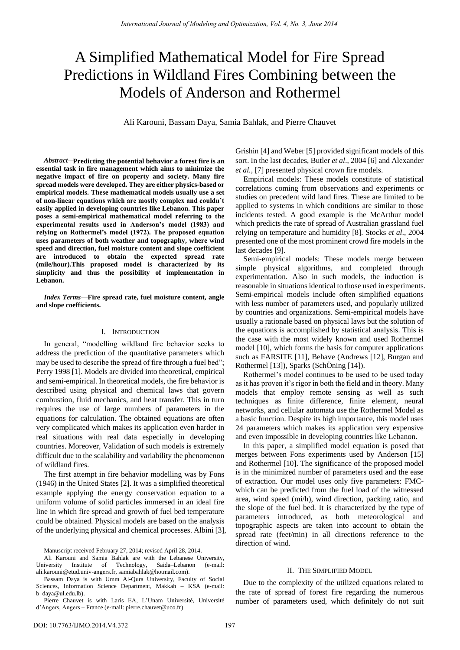# A Simplified Mathematical Model for Fire Spread Predictions in Wildland Fires Combining between the Models of Anderson and Rothermel

Ali Karouni, Bassam Daya, Samia Bahlak, and Pierre Chauvet

*Abstract***— Predicting the potential behavior a forest fire is an essential task in fire management which aims to minimize the negative impact of fire on property and society. Many fire spread models were developed. They are either physics-based or empirical models. These mathematical models usually use a set of non-linear equations which are mostly complex and couldn't easily applied in developing countries like Lebanon. This paper poses a semi-empirical mathematical model referring to the experimental results used in Anderson's model (1983) and relying on Rothermel's model (1972). The proposed equation uses parameters of both weather and topography, where wind speed and direction, fuel moisture content and slope coefficient are introduced to obtain the expected spread rate (mile/hour).This proposed model is characterized by its simplicity and thus the possibility of implementation in Lebanon.** 

*Index Terms***—Fire spread rate, fuel moisture content, angle and slope coefficients.** 

# I. INTRODUCTION

In general, "modelling wildland fire behavior seeks to address the prediction of the quantitative parameters which may be used to describe the spread of fire through a fuel bed"; Perry 1998 [1]. Models are divided into theoretical, empirical and semi-empirical. In theoretical models, the fire behavior is described using physical and chemical laws that govern combustion, fluid mechanics, and heat transfer. This in turn requires the use of large numbers of parameters in the equations for calculation. The obtained equations are often very complicated which makes its application even harder in real situations with real data especially in developing countries. Moreover, Validation of such models is extremely difficult due to the scalability and variability the phenomenon of wildland fires.

The first attempt in fire behavior modelling was by Fons (1946) in the United States [2]. It was a simplified theoretical example applying the energy conservation equation to a uniform volume of solid particles immersed in an ideal fire line in which fire spread and growth of fuel bed temperature could be obtained. Physical models are based on the analysis of the underlying physical and chemical processes. Albini [3],

Bassam Daya is with Umm Al-Qura University, Faculty of Social Sciences, Information Science Department, Makkah – KSA (e-mail: [b\\_daya@ul.edu.lb\).](mailto:b_daya@ul.edu.lb)

Pierre Chauvet is with Laris EA, L'Unam Université, Université d'Angers, Angers – France (e-mail: [pierre.chauvet@uco.fr\)](mailto:pierre.chauvet@uco.fr)

Grishin [4] and Weber [5] provided significant models of this sort. In the last decades, Butler *et al*., 2004 [6] and Alexander *et al.,* [7] presented physical crown fire models.

Empirical models: These models constitute of statistical correlations coming from observations and experiments or studies on precedent wild land fires. These are limited to be applied to systems in which conditions are similar to those incidents tested. A good example is the McArthur model which predicts the rate of spread of Australian grassland fuel relying on temperature and humidity [8]. Stocks *et al*., 2004 presented one of the most prominent crowd fire models in the last decades [9].

Semi-empirical models: These models merge between simple physical algorithms, and completed through experimentation. Also in such models, the induction is reasonable in situations identical to those used in experiments. Semi-empirical models include often simplified equations with less number of parameters used, and popularly utilized by countries and organizations. Semi-empirical models have usually a rationale based on physical laws but the solution of the equations is accomplished by statistical analysis. This is the case with the most widely known and used Rothermel model [10], which forms the basis for computer applications such as FARSITE [11], Behave (Andrews [12], Burgan and Rothermel [13]), Sparks (SchÖning [14]).

Rothermel's model continues to be used to be used today as it has proven it's rigor in both the field and in theory. Many models that employ remote sensing as well as such techniques as finite difference, finite element, neural networks, and cellular automata use the Rothermel Model as a basic function. Despite its high importance, this model uses 24 parameters which makes its application very expensive and even impossible in developing countries like Lebanon.

In this paper, a simplified model equation is posed that merges between Fons experiments used by Anderson [15] and Rothermel [10]. The significance of the proposed model is in the minimized number of parameters used and the ease of extraction. Our model uses only five parameters: FMCwhich can be predicted from the fuel load of the witnessed area, wind speed (mi/h), wind direction, packing ratio, and the slope of the fuel bed. It is characterized by the type of parameters introduced, as both meteorological and topographic aspects are taken into account to obtain the spread rate (feet/min) in all directions reference to the direction of wind.

## II. THE SIMPLIFIED MODEL

Due to the complexity of the utilized equations related to the rate of spread of forest fire regarding the numerous number of parameters used, which definitely do not suit

Manuscript received February 27, 2014; revised April 28, 2014.

Ali Karouni and Samia Bahlak are with the Lebanese University, University Institute of Technology, Saida–Lebanon (e-mail: ali.karouni@etud.univ-angers.fr[, samiabahlak@hotmail.com\)](mailto:samiabahlak@hotmail.com).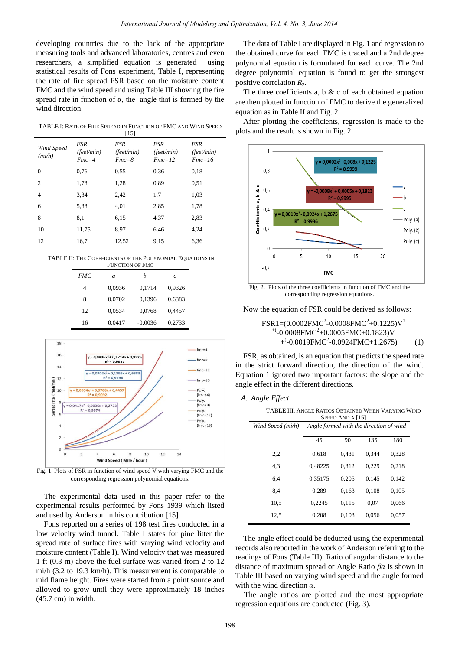developing countries due to the lack of the appropriate measuring tools and advanced laboratories, centres and even researchers, a simplified equation is generated using statistical results of Fons experiment, Table I, representing the rate of fire spread FSR based on the moisture content FMC and the wind speed and using Table III showing the fire spread rate in function of  $\alpha$ , the angle that is formed by the wind direction.

TABLE I: RATE OF FIRE SPREAD IN FUNCTION OF FMC AND WIND SPEED [15]

| Wind Speed<br>(mih) | <b>FSR</b><br>(feet/min)<br>$Fmc=4$ | FSR<br>$(\text{feet/min})$<br>$Fmc = 8$ | FSR<br>(feet/min)<br>$Fmc=12$ | FSR<br>$(\text{feet/min})$<br>$Fmc=16$ |
|---------------------|-------------------------------------|-----------------------------------------|-------------------------------|----------------------------------------|
| $\mathbf{0}$        | 0.76                                | 0.55                                    | 0.36                          | 0.18                                   |
| 2                   | 1,78                                | 1,28                                    | 0.89                          | 0,51                                   |
| 4                   | 3.34                                | 2,42                                    | 1,7                           | 1,03                                   |
| 6                   | 5.38                                | 4,01                                    | 2,85                          | 1,78                                   |
| 8                   | 8.1                                 | 6.15                                    | 4,37                          | 2,83                                   |
| 10                  | 11,75                               | 8.97                                    | 6,46                          | 4,24                                   |
| 12                  | 16,7                                | 12,52                                   | 9,15                          | 6,36                                   |

TABLE II: THE COEFFICIENTS OF THE POLYNOMIAL EQUATIONS IN FUNCTION OF FMC

| 1011011011011110 |        |           |        |  |
|------------------|--------|-----------|--------|--|
| <b>FMC</b>       | a      |           | c      |  |
|                  | 0,0936 | 0,1714    | 0,9326 |  |
| 8                | 0,0702 | 0,1396    | 0,6383 |  |
| 12               | 0,0534 | 0,0768    | 0,4457 |  |
| 16               | 0.0417 | $-0,0036$ | 0,2733 |  |



Fig. 1. Plots of FSR in function of wind speed V with varying FMC and the corresponding regression polynomial equations.

The experimental data used in this paper refer to the experimental results performed by Fons 1939 which listed and used by Anderson in his contribution [15].

Fons reported on a series of 198 test fires conducted in a low velocity wind tunnel. Table I states for pine litter the spread rate of surface fires with varying wind velocity and moisture content (Table I). Wind velocity that was measured 1 ft (0.3 m) above the fuel surface was varied from 2 to 12 mi/h (3.2 to 19.3 km/h). This measurement is comparable to mid flame height. Fires were started from a point source and allowed to grow until they were approximately 18 inches (45.7 cm) in width.

The data of Table I are displayed in Fig. 1 and regression to the obtained curve for each FMC is traced and a 2nd degree polynomial equation is formulated for each curve. The 2nd degree polynomial equation is found to get the strongest positive correlation  $R_2$ .

The three coefficients a,  $b & c$  of each obtained equation are then plotted in function of FMC to derive the generalized equation as in Table II and Fig. 2.

After plotting the coefficients, regression is made to the plots and the result is shown in Fig. 2.



Fig. 2. Plots of the three coefficients in function of FMC and the corresponding regression equations.

Now the equation of FSR could be derived as follows:

$$
FSR1=(0.0002FMC2-0.0008FMC2+0.1225)V2+(0.0008FMC2+0.0005FMC+0.1823)V+(0.0019FMC2-0.0924FMC+1.2675)
$$
 (1)

FSR, as obtained, is an equation that predicts the speed rate in the strict forward direction, the direction of the wind. Equation 1 ignored two important factors: the slope and the angle effect in the different directions.

#### *A. Angle Effect*

 $\overline{a}$ 

TABLE III: ANGLE RATIOS OBTAINED WHEN VARYING WIND SPEED AND Α [15]

| Wind Speed (mi/h) | Angle formed with the direction of wind |       |       |       |
|-------------------|-----------------------------------------|-------|-------|-------|
|                   | 45                                      | 90    | 135   | 180   |
| 2,2               | 0.618                                   | 0,431 | 0.344 | 0.328 |
| 4.3               | 0,48225                                 | 0.312 | 0.229 | 0.218 |
| 6,4               | 0,35175                                 | 0.205 | 0.145 | 0.142 |
| 8,4               | 0.289                                   | 0.163 | 0.108 | 0.105 |
| 10,5              | 0.2245                                  | 0,115 | 0,07  | 0.066 |
| 12,5              | 0.208                                   | 0.103 | 0.056 | 0.057 |
|                   |                                         |       |       |       |

The angle effect could be deducted using the experimental records also reported in the work of Anderson referring to the readings of Fons (Table III). Ratio of angular distance to the distance of maximum spread or Angle Ratio *βα* is shown in Table III based on varying wind speed and the angle formed with the wind direction *α*.

The angle ratios are plotted and the most appropriate regression equations are conducted (Fig. 3).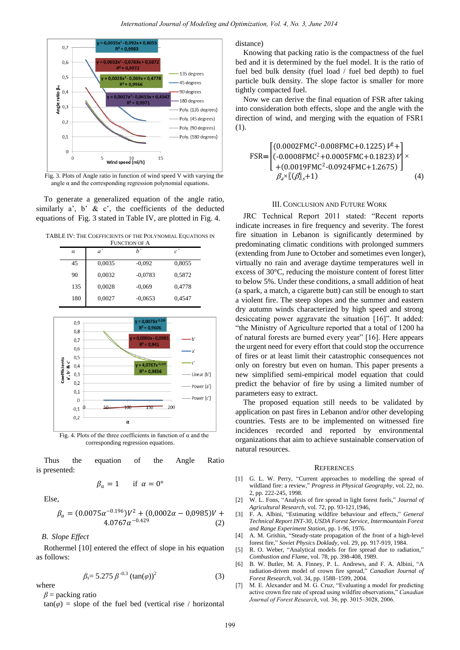

Fig. 3. Plots of Angle ratio in function of wind speed V with varying the angle  $\alpha$  and the corresponding regression polynomial equations.

To generate a generalized equation of the angle ratio, similarly  $a'$ ,  $b'$  &  $c'$ , the coefficients of the deducted equations of Fig. 3 stated in Table IV, are plotted in Fig. 4.

TABLE IV: THE COEFFICIENTS OF THE POLYNOMIAL EQUATIONS IN

| <b>FUNCTION OF A</b> |        |           |                |  |  |
|----------------------|--------|-----------|----------------|--|--|
| $\alpha$             | a'     | h'        | $c^{\,\prime}$ |  |  |
| 45                   | 0,0035 | $-0,092$  | 0,8055         |  |  |
| 90                   | 0,0032 | $-0.0783$ | 0,5872         |  |  |
| 135                  | 0,0028 | $-0.069$  | 0,4778         |  |  |
| 180                  | 0,0027 | $-0.0653$ | 0.4547         |  |  |



corresponding regression equations.

Thus the equation of the Angle Ratio is presented:

$$
\beta_a = 1 \quad \text{if } \alpha = 0^\circ
$$

Else,

$$
\beta_a = (0.0075\alpha^{-0.196})V^2 + (0.0002\alpha - 0.0985)V + 4.0767\alpha^{-0.429}
$$
\n(2)

*B. Slope Effect*

Rothermel [10] entered the effect of slope in his equation as follows:

$$
\beta_s = 5.275 \,\beta^{-0.3} \left(\tan(\varphi)\right)^2 \tag{3}
$$

where

 $\beta$  = packing ratio

 $tan(\varphi)$  = slope of the fuel bed (vertical rise / horizontal

distance)

Knowing that packing ratio is the compactness of the fuel bed and it is determined by the fuel model. It is the ratio of fuel bed bulk density (fuel load / fuel bed depth) to fuel particle bulk density. The slope factor is smaller for more tightly compacted fuel.

Now we can derive the final equation of FSR after taking into consideration both effects, slope and the angle with the direction of wind, and merging with the equation of FSR1 (1).

$$
\text{FSR} = \begin{bmatrix} (0.0002 \text{FMC}^2 - 0.008 \text{FMC} + 0.1225) \, l^2 + \\ (-0.0008 \text{FMC}^2 + 0.0005 \text{FMC} + 0.1823) \, l' \\ + (0.0019 \text{FMC}^2 - 0.0924 \text{FMC} + 1.2675) \, \\ \beta_a \times [(\beta]_s + 1) \end{bmatrix} \times (4)
$$

## III. CONCLUSION AND FUTURE WORK

JRC Technical Report 2011 stated: "Recent reports indicate increases in fire frequency and severity. The forest fire situation in Lebanon is significantly determined by predominating climatic conditions with prolonged summers (extending from June to October and sometimes even longer), virtually no rain and average daytime temperatures well in excess of 30 $\mathbb{C}$ , reducing the moisture content of forest litter to below 5%. Under these conditions, a small addition of heat (a spark, a match, a cigarette butt) can still be enough to start a violent fire. The steep slopes and the summer and eastern dry autumn winds characterized by high speed and strong desiccating power aggravate the situation [16]". It added: "the Ministry of Agriculture reported that a total of 1200 ha of natural forests are burned every year" [16]. Here appears the urgent need for every effort that could stop the occurrence of fires or at least limit their catastrophic consequences not only on forestry but even on human. This paper presents a new simplified semi-empirical model equation that could predict the behavior of fire by using a limited number of parameters easy to extract.

The proposed equation still needs to be validated by application on past fires in Lebanon and/or other developing countries. Tests are to be implemented on witnessed fire incidences recorded and reported by environmental organizations that aim to achieve sustainable conservation of natural resources.

#### **REFERENCES**

- [1] G. L. W. Perry, "Current approaches to modelling the spread of wildland fire: a review," *Progress in Physical Geography*, vol. 22, no. 2, pp. 222-245, 1998.
- [2] W. L. Fons, "Analysis of fire spread in light forest fuels," *Journal of Agricultural Research*, vol. 72, pp. 93-121,1946,
- [3] F. A. Albini, "Estimating wildfire behaviour and effects," *General Technical Report INT-30, USDA Forest Service, Intermountain Forest and Range Experiment Station*, pp. 1-96, 1976.
- [4] A. M. Grishin, "Steady-state propagation of the front of a high-level forest fire," *Soviet Physics Doklady*, vol. 29, pp. 917-919, 1984.
- [5] R. O. Weber, "Analytical models for fire spread due to radiation," *Combustion and Flame*, vol. 78, pp. 398-408, 1989.
- [6] B. W. Butler, M. A. Finney, P. L. Andrews, and F. A. Albini, "A radiation-driven model of crown fire spread," *Canadian Journal of Forest Research*, vol. 34, pp. 1588–1599, 2004.
- [7] M. E. Alexander and M. G. Cruz, "Evaluating a model for predicting active crown fire rate of spread using wildfire observations," Canadian Journal of Forest Research, vol. 36, pp. 3015–3028, 2006.